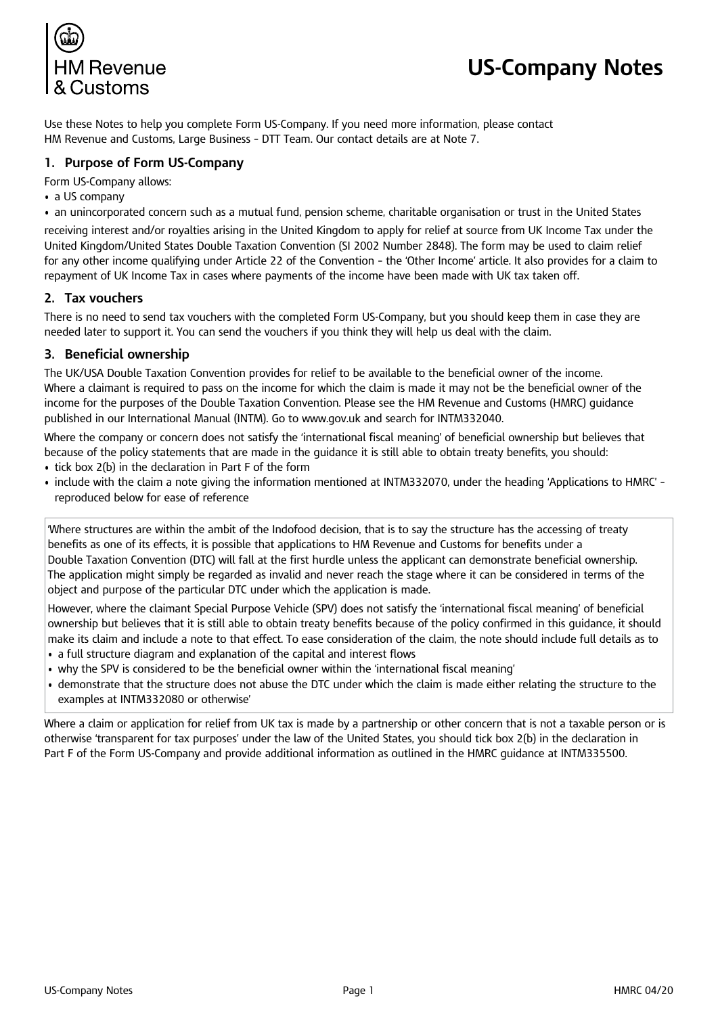

# **US-Company Notes**

Use these Notes to help you complete Form US-Company. If you need more information, please contact HM Revenue and Customs, Large Business – DTT Team. Our contact details are at Note 7.

# **1. Purpose of Form US-Company**

Form US-Company allows:

- a US company
- an unincorporated concern such as a mutual fund, pension scheme, charitable organisation or trust in the United States

receiving interest and/or royalties arising in the United Kingdom to apply for relief at source from UK Income Tax under the United Kingdom/United States Double Taxation Convention (SI 2002 Number 2848). The form may be used to claim relief for any other income qualifying under Article 22 of the Convention – the 'Other Income' article. It also provides for a claim to repayment of UK Income Tax in cases where payments of the income have been made with UK tax taken off.

## **2. Tax vouchers**

There is no need to send tax vouchers with the completed Form US-Company, but you should keep them in case they are needed later to support it. You can send the vouchers if you think they will help us deal with the claim.

## **3. Beneficial ownership**

The UK/USA Double Taxation Convention provides for relief to be available to the beneficial owner of the income. Where a claimant is required to pass on the income for which the claim is made it may not be the beneficial owner of the income for the purposes of the Double Taxation Convention. Please see the HM Revenue and Customs (HMRC) guidance published in our International Manual (INTM). Go to<www.gov.uk> and search for INTM332040.

Where the company or concern does not satisfy the 'international fiscal meaning' of beneficial ownership but believes that because of the policy statements that are made in the guidance it is still able to obtain treaty benefits, you should:

- tick box 2(b) in the declaration in Part F of the form
- • include with the claim a note giving the information mentioned at INTM332070, under the heading 'Applications to HMRC' reproduced below for ease of reference

'Where structures are within the ambit of the Indofood decision, that is to say the structure has the accessing of treaty benefits as one of its effects, it is possible that applications to HM Revenue and Customs for benefits under a Double Taxation Convention (DTC) will fall at the first hurdle unless the applicant can demonstrate beneficial ownership. The application might simply be regarded as invalid and never reach the stage where it can be considered in terms of the object and purpose of the particular DTC under which the application is made.

However, where the claimant Special Purpose Vehicle (SPV) does not satisfy the 'international fiscal meaning' of beneficial ownership but believes that it is still able to obtain treaty benefits because of the policy confirmed in this guidance, it should make its claim and include a note to that effect. To ease consideration of the claim, the note should include full details as to

- a full structure diagram and explanation of the capital and interest flows
- why the SPV is considered to be the beneficial owner within the 'international fiscal meaning'
- • demonstrate that the structure does not abuse the DTC under which the claim is made either relating the structure to the examples at INTM332080 or otherwise'

Where a claim or application for relief from UK tax is made by a partnership or other concern that is not a taxable person or is otherwise 'transparent for tax purposes' under the law of the United States, you should tick box 2(b) in the declaration in Part F of the Form US-Company and provide additional information as outlined in the HMRC guidance at INTM335500.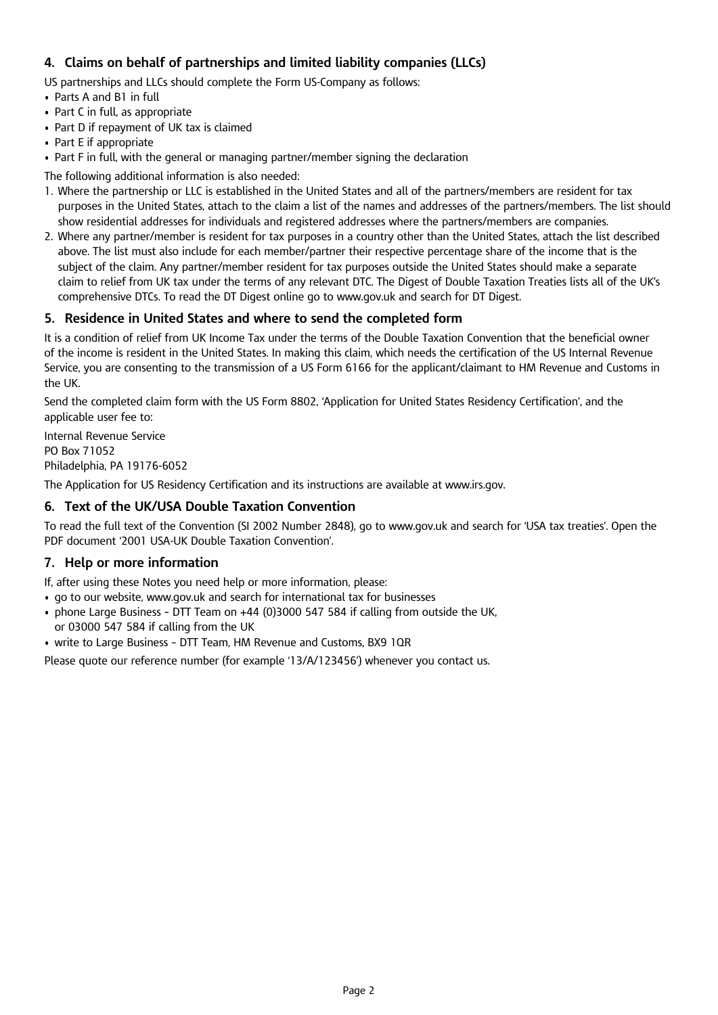# **4. Claims on behalf of partnerships and limited liability companies (LLCs)**

US partnerships and LLCs should complete the Form US-Company as follows:

- Parts A and B1 in full
- Part C in full, as appropriate
- Part D if repayment of UK tax is claimed
- Part E if appropriate
- Part F in full, with the general or managing partner/member signing the declaration

The following additional information is also needed:

- 1. Where the partnership or LLC is established in the United States and all of the partners/members are resident for tax purposes in the United States, attach to the claim a list of the names and addresses of the partners/members. The list should show residential addresses for individuals and registered addresses where the partners/members are companies.
- 2. Where any partner/member is resident for tax purposes in a country other than the United States, attach the list described above. The list must also include for each member/partner their respective percentage share of the income that is the subject of the claim. Any partner/member resident for tax purposes outside the United States should make a separate claim to relief from UK tax under the terms of any relevant DTC. The Digest of Double Taxation Treaties lists all of the UK's comprehensive DTCs. To read the DT Digest online go to<www.gov.uk> and search for DT Digest.

# **5. Residence in United States and where to send the completed form**

It is a condition of relief from UK Income Tax under the terms of the Double Taxation Convention that the beneficial owner of the income is resident in the United States. In making this claim, which needs the certification of the US Internal Revenue Service, you are consenting to the transmission of a US Form 6166 for the applicant/claimant to HM Revenue and Customs in the UK.

Send the completed claim form with the US Form 8802, 'Application for United States Residency Certification', and the applicable user fee to:

Internal Revenue Service PO Box 71052 Philadelphia, PA 19176-6052

The Application for US Residency Certification and its instructions are available at<www.irs.gov>.

## **6. Text of the UK/USA Double Taxation Convention**

To read the full text of the Convention (SI 2002 Number 2848), go to<www.gov.uk> and search for 'USA tax treaties'. Open the PDF document '2001 USA-UK Double Taxation Convention'.

# **7. Help or more information**

- If, after using these Notes you need help or more information, please:
- go to our website, <www.gov.uk> and search for international tax for businesses
- • phone Large Business DTT Team on +44 (0)3000 547 584 if calling from outside the UK, or 03000 547 584 if calling from the UK
- write to Large Business DTT Team, HM Revenue and Customs, BX9 1QR

Please quote our reference number (for example '13/A/123456') whenever you contact us.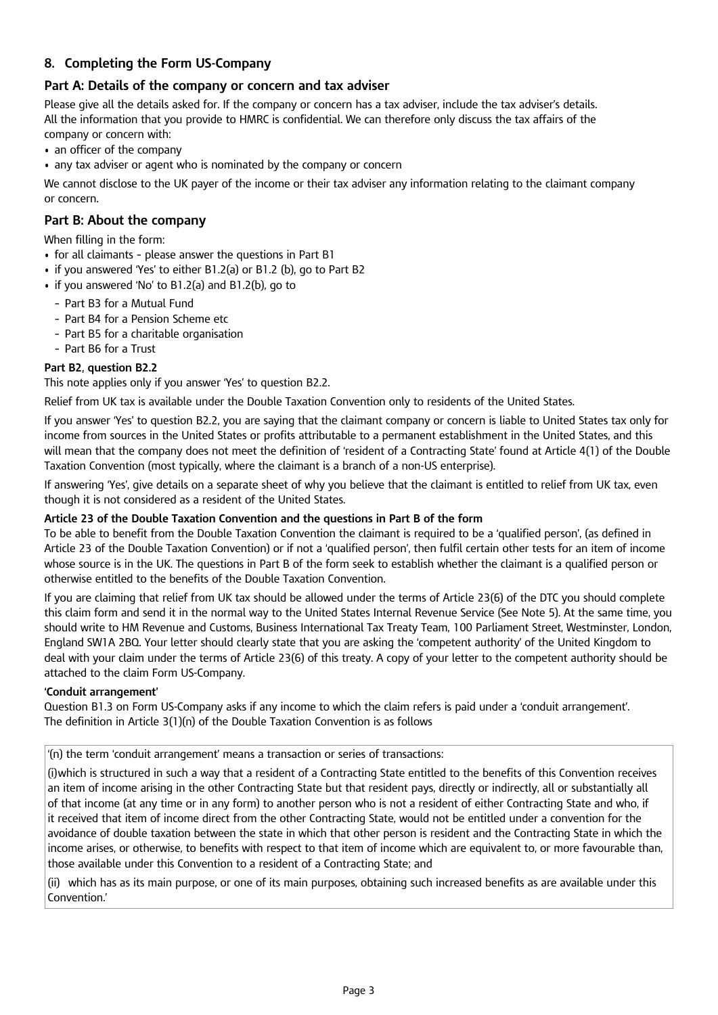# **8. Completing the Form US-Company**

# **Part A: Details of the company or concern and tax adviser**

Please give all the details asked for. If the company or concern has a tax adviser, include the tax adviser's details. All the information that you provide to HMRC is confidential. We can therefore only discuss the tax affairs of the company or concern with:

- an officer of the company
- any tax adviser or agent who is nominated by the company or concern

We cannot disclose to the UK payer of the income or their tax adviser any information relating to the claimant company or concern.

## **Part B: About the company**

When filling in the form:

- for all claimants please answer the questions in Part B1
- if you answered 'Yes' to either B1.2(a) or B1.2 (b), go to Part B2
- if you answered 'No' to B1.2(a) and B1.2(b), go to
	- Part B3 for a Mutual Fund
	- Part B4 for a Pension Scheme etc
	- Part B5 for a charitable organisation
	- Part B6 for a Trust

#### **Part B2, question B2.2**

This note applies only if you answer 'Yes' to question B2.2.

Relief from UK tax is available under the Double Taxation Convention only to residents of the United States.

If you answer 'Yes' to question B2.2, you are saying that the claimant company or concern is liable to United States tax only for income from sources in the United States or profits attributable to a permanent establishment in the United States, and this will mean that the company does not meet the definition of 'resident of a Contracting State' found at Article 4(1) of the Double Taxation Convention (most typically, where the claimant is a branch of a non-US enterprise).

If answering 'Yes', give details on a separate sheet of why you believe that the claimant is entitled to relief from UK tax, even though it is not considered as a resident of the United States.

#### **Article 23 of the Double Taxation Convention and the questions in Part B of the form**

To be able to benefit from the Double Taxation Convention the claimant is required to be a 'qualified person', (as defined in Article 23 of the Double Taxation Convention) or if not a 'qualified person', then fulfil certain other tests for an item of income whose source is in the UK. The questions in Part B of the form seek to establish whether the claimant is a qualified person or otherwise entitled to the benefits of the Double Taxation Convention.

If you are claiming that relief from UK tax should be allowed under the terms of Article 23(6) of the DTC you should complete this claim form and send it in the normal way to the United States Internal Revenue Service (See Note 5). At the same time, you should write to HM Revenue and Customs, Business International Tax Treaty Team, 100 Parliament Street, Westminster, London, England SW1A 2BQ. Your letter should clearly state that you are asking the 'competent authority' of the United Kingdom to deal with your claim under the terms of Article 23(6) of this treaty. A copy of your letter to the competent authority should be attached to the claim Form US-Company.

#### **'Conduit arrangement'**

Question B1.3 on Form US-Company asks if any income to which the claim refers is paid under a 'conduit arrangement'. The definition in Article 3(1)(n) of the Double Taxation Convention is as follows

'(n) the term 'conduit arrangement' means a transaction or series of transactions:

(i)which is structured in such a way that a resident of a Contracting State entitled to the benefits of this Convention receives an item of income arising in the other Contracting State but that resident pays, directly or indirectly, all or substantially all of that income (at any time or in any form) to another person who is not a resident of either Contracting State and who, if it received that item of income direct from the other Contracting State, would not be entitled under a convention for the avoidance of double taxation between the state in which that other person is resident and the Contracting State in which the income arises, or otherwise, to benefits with respect to that item of income which are equivalent to, or more favourable than, those available under this Convention to a resident of a Contracting State; and

(ii) which has as its main purpose, or one of its main purposes, obtaining such increased benefits as are available under this Convention.'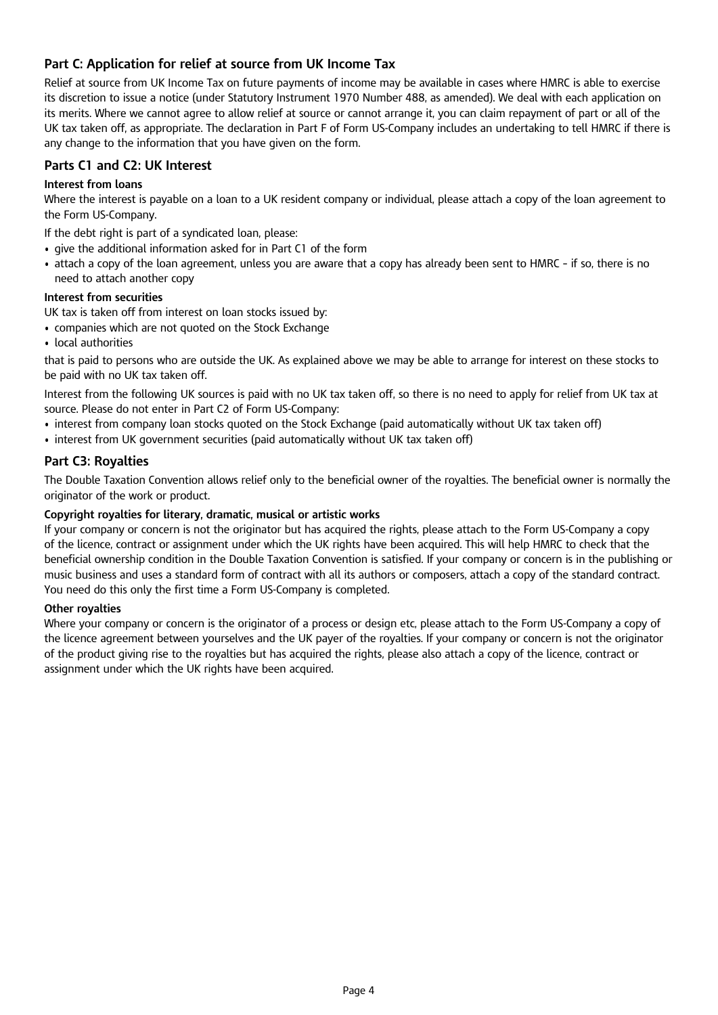# **Part C: Application for relief at source from UK Income Tax**

Relief at source from UK Income Tax on future payments of income may be available in cases where HMRC is able to exercise its discretion to issue a notice (under Statutory Instrument 1970 Number 488, as amended). We deal with each application on its merits. Where we cannot agree to allow relief at source or cannot arrange it, you can claim repayment of part or all of the UK tax taken off, as appropriate. The declaration in Part F of Form US-Company includes an undertaking to tell HMRC if there is any change to the information that you have given on the form.

# **Parts C1 and C2: UK Interest**

## **Interest from loans**

Where the interest is payable on a loan to a UK resident company or individual, please attach a copy of the loan agreement to the Form US-Company.

If the debt right is part of a syndicated loan, please:

- give the additional information asked for in Part C1 of the form
- • attach a copy of the loan agreement, unless you are aware that a copy has already been sent to HMRC if so, there is no need to attach another copy

## **Interest from securities**

UK tax is taken off from interest on loan stocks issued by:

- companies which are not quoted on the Stock Exchange
- local authorities

that is paid to persons who are outside the UK. As explained above we may be able to arrange for interest on these stocks to be paid with no UK tax taken off.

Interest from the following UK sources is paid with no UK tax taken off, so there is no need to apply for relief from UK tax at source. Please do not enter in Part C2 of Form US-Company:

- interest from company loan stocks quoted on the Stock Exchange (paid automatically without UK tax taken off)
- interest from UK government securities (paid automatically without UK tax taken off)

## **Part C3: Royalties**

The Double Taxation Convention allows relief only to the beneficial owner of the royalties. The beneficial owner is normally the originator of the work or product.

## **Copyright royalties for literary, dramatic, musical or artistic works**

If your company or concern is not the originator but has acquired the rights, please attach to the Form US-Company a copy of the licence, contract or assignment under which the UK rights have been acquired. This will help HMRC to check that the beneficial ownership condition in the Double Taxation Convention is satisfied. If your company or concern is in the publishing or music business and uses a standard form of contract with all its authors or composers, attach a copy of the standard contract. You need do this only the first time a Form US-Company is completed.

## **Other royalties**

Where your company or concern is the originator of a process or design etc, please attach to the Form US-Company a copy of the licence agreement between yourselves and the UK payer of the royalties. If your company or concern is not the originator of the product giving rise to the royalties but has acquired the rights, please also attach a copy of the licence, contract or assignment under which the UK rights have been acquired.